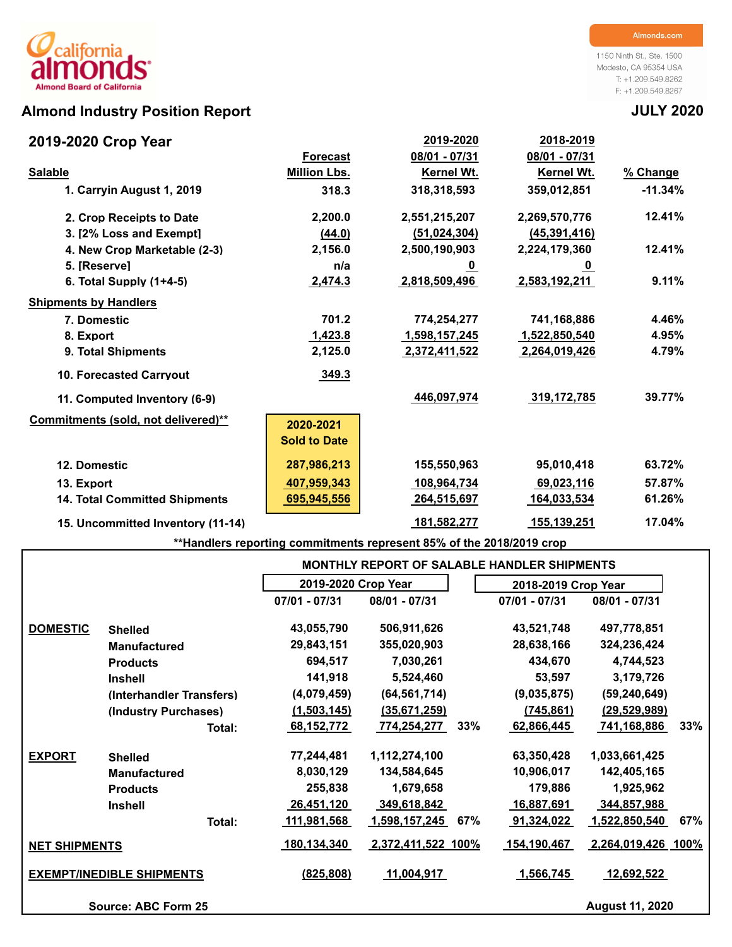## **Almond Industry Position Report JULY 2020**

### **2019-2020 Crop Year**

1150 Ninth St., Ste. 1500 Modesto, CA 95354 USA T: +1.209.549.8262 F: +1.209.549.8267

| 2019-2020 Crop Year                  |                     | 2019-2020      | 2018-2019      |           |
|--------------------------------------|---------------------|----------------|----------------|-----------|
|                                      | <b>Forecast</b>     | 08/01 - 07/31  | 08/01 - 07/31  |           |
| <b>Salable</b>                       | <b>Million Lbs.</b> | Kernel Wt.     | Kernel Wt.     | % Change  |
| 1. Carryin August 1, 2019            | 318.3               | 318,318,593    | 359,012,851    | $-11.34%$ |
| 2. Crop Receipts to Date             | 2,200.0             | 2,551,215,207  | 2,269,570,776  | 12.41%    |
| 3. I2% Loss and Exempt1              | (44.0)              | (51, 024, 304) | (45, 391, 416) |           |
| 4. New Crop Marketable (2-3)         | 2,156.0             | 2,500,190,903  | 2,224,179,360  | 12.41%    |
| 5. [Reserve]                         | n/a                 | <u>_0</u>      | $\bf{0}$       |           |
| 6. Total Supply $(1+4-5)$            | 2,474.3             | 2,818,509,496  | 2,583,192,211  | 9.11%     |
| <b>Shipments by Handlers</b>         |                     |                |                |           |
| 7. Domestic                          | 701.2               | 774,254,277    | 741,168,886    | 4.46%     |
| 8. Export                            | 1,423.8             | 1,598,157,245  | 1,522,850,540  | 4.95%     |
| 9. Total Shipments                   | 2,125.0             | 2,372,411,522  | 2,264,019,426  | 4.79%     |
| <b>10. Forecasted Carrvout</b>       | 349.3               |                |                |           |
| 11. Computed Inventory (6-9)         |                     | 446,097,974    | 319,172,785    | 39.77%    |
| Commitments (sold, not delivered)**  | 2020-2021           |                |                |           |
|                                      | <b>Sold to Date</b> |                |                |           |
| 12. Domestic                         | 287,986,213         | 155,550,963    | 95,010,418     | 63.72%    |
| 13. Export                           | 407,959,343         | 108,964,734    | 69,023,116     | 57.87%    |
| <b>14. Total Committed Shipments</b> | 695,945,556         | 264,515,697    | 164,033,534    | 61.26%    |
| 15. Uncommitted Inventory (11-14)    |                     | 181,582,277    | 155,139,251    | 17.04%    |

**\*\*Handlers reporting commitments represent 85% of the 2018/2019 crop**

|                      |                                  |                     |                    |     | <b>MONTHLY REPORT OF SALABLE HANDLER SHIPMENTS</b> |                        |      |
|----------------------|----------------------------------|---------------------|--------------------|-----|----------------------------------------------------|------------------------|------|
|                      |                                  | 2019-2020 Crop Year |                    |     | 2018-2019 Crop Year                                |                        |      |
|                      |                                  | $07/01 - 07/31$     | 08/01 - 07/31      |     | $07/01 - 07/31$                                    | 08/01 - 07/31          |      |
| <b>DOMESTIC</b>      | <b>Shelled</b>                   | 43,055,790          | 506,911,626        |     | 43,521,748                                         | 497,778,851            |      |
|                      | <b>Manufactured</b>              | 29,843,151          | 355,020,903        |     | 28,638,166                                         | 324,236,424            |      |
|                      | <b>Products</b>                  | 694,517             | 7,030,261          |     | 434,670                                            | 4,744,523              |      |
|                      | <b>Inshell</b>                   | 141,918             | 5,524,460          |     | 53,597                                             | 3,179,726              |      |
|                      | (Interhandler Transfers)         | (4,079,459)         | (64, 561, 714)     |     | (9,035,875)                                        | (59, 240, 649)         |      |
|                      | (Industry Purchases)             | (1,503,145)         | (35,671,259)       |     | (745, 861)                                         | (29, 529, 989)         |      |
|                      | Total:                           | 68,152,772          | 774,254,277        | 33% | 62,866,445                                         | 741,168,886            | 33%  |
| <b>EXPORT</b>        | <b>Shelled</b>                   | 77,244,481          | 1,112,274,100      |     | 63,350,428                                         | 1,033,661,425          |      |
|                      | <b>Manufactured</b>              | 8,030,129           | 134,584,645        |     | 10,906,017                                         | 142,405,165            |      |
|                      | <b>Products</b>                  | 255,838             | 1,679,658          |     | 179,886                                            | 1,925,962              |      |
|                      | <b>Inshell</b>                   | 26,451,120          | 349,618,842        |     | 16,887,691                                         | 344,857,988            |      |
|                      | Total:                           | 111,981,568         | 1,598,157,245      | 67% | 91,324,022                                         | 1,522,850,540          | 67%  |
| <b>NET SHIPMENTS</b> |                                  | 180,134,340         | 2,372,411,522 100% |     | 154,190,467                                        | 2,264,019,426          | 100% |
|                      | <b>EXEMPT/INEDIBLE SHIPMENTS</b> | (825, 808)          | 11,004,917         |     | 1,566,745                                          | <u>12,692,522</u>      |      |
|                      | Source: ABC Form 25              |                     |                    |     |                                                    | <b>August 11, 2020</b> |      |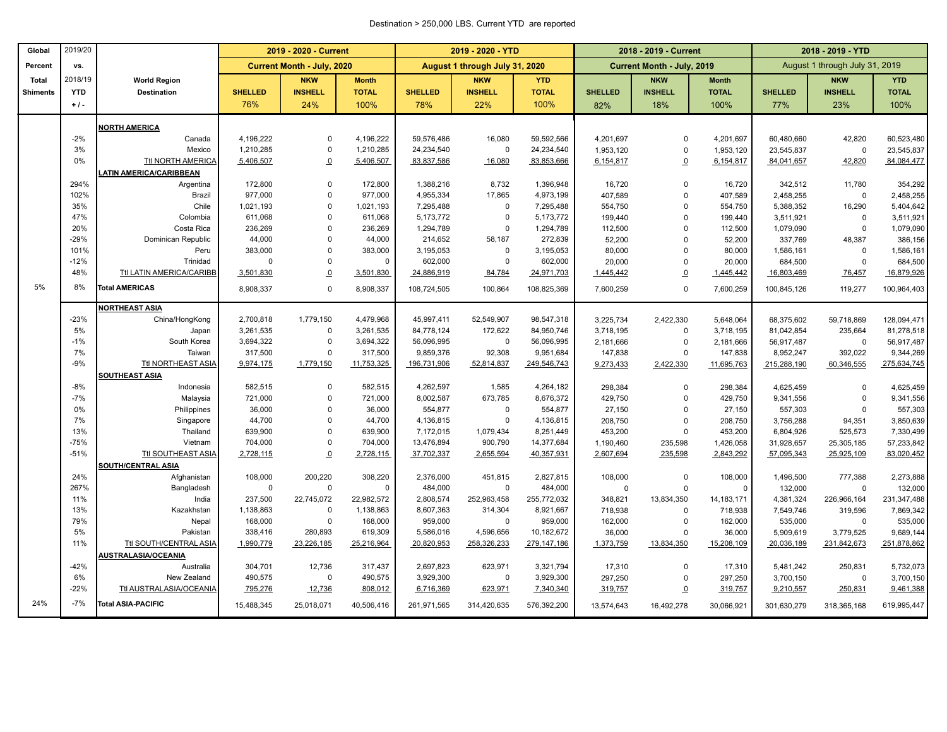#### Destination > 250,000 LBS. Current YTD are reported

| Global          | 2019/20    |                               |                | 2019 - 2020 - Current      |              |                | 2019 - 2020 - YTD              |              | 2018 - 2019 - Current |                            |              | 2018 - 2019 - YTD              |                |              |
|-----------------|------------|-------------------------------|----------------|----------------------------|--------------|----------------|--------------------------------|--------------|-----------------------|----------------------------|--------------|--------------------------------|----------------|--------------|
| Percent         | vs.        |                               |                | Current Month - July, 2020 |              |                | August 1 through July 31, 2020 |              |                       | Current Month - July, 2019 |              | August 1 through July 31, 2019 |                |              |
| <b>Total</b>    | 2018/19    | <b>World Region</b>           |                | <b>NKW</b>                 | <b>Month</b> |                | <b>NKW</b>                     | <b>YTD</b>   |                       | <b>NKW</b>                 | <b>Month</b> |                                | <b>NKW</b>     | <b>YTD</b>   |
| <b>Shiments</b> | <b>YTD</b> | <b>Destination</b>            | <b>SHELLED</b> | <b>INSHELL</b>             | <b>TOTAL</b> | <b>SHELLED</b> | <b>INSHELL</b>                 | <b>TOTAL</b> | <b>SHELLED</b>        | <b>INSHELL</b>             | <b>TOTAL</b> | <b>SHELLED</b>                 | <b>INSHELL</b> | <b>TOTAL</b> |
|                 | $+1$ .     |                               | 76%            | 24%                        | 100%         | 78%            | 22%                            | 100%         | 82%                   | 18%                        | 100%         | 77%                            | 23%            | 100%         |
|                 |            | <b>NORTH AMERICA</b>          |                |                            |              |                |                                |              |                       |                            |              |                                |                |              |
|                 | $-2%$      | Canada                        | 4,196,222      | $\mathbf 0$                | 4,196,222    | 59,576,486     | 16,080                         | 59,592,566   | 4,201,697             | $\mathbf 0$                | 4,201,697    | 60,480,660                     | 42,820         | 60,523,480   |
|                 | 3%         | Mexico                        | 1,210,285      | $\mathbf 0$                | 1,210,285    | 24,234,540     | $\mathbf 0$                    | 24,234,540   | 1,953,120             | $\pmb{0}$                  | 1,953,120    | 23,545,837                     | $\mathbf 0$    | 23,545,837   |
|                 | 0%         | Ttl NORTH AMERICA             | 5,406,507      | $\Omega$                   | 5,406,507    | 83,837,586     | 16,080                         | 83,853,666   | 6,154,817             | $\mathbf{0}$               | 6,154,817    | 84,041,657                     | 42,820         | 84,084,477   |
|                 |            | <b>ATIN AMERICA/CARIBBEAN</b> |                |                            |              |                |                                |              |                       |                            |              |                                |                |              |
|                 | 294%       | Argentina                     | 172,800        | $\mathbf 0$                | 172,800      | 1,388,216      | 8,732                          | 1,396,948    | 16,720                | $\Omega$                   | 16,720       | 342,512                        | 11,780         | 354,292      |
|                 | 102%       | Brazil                        | 977,000        | $\mathbf 0$                | 977,000      | 4,955,334      | 17,865                         | 4,973,199    | 407,589               | $\Omega$                   | 407,589      | 2,458,255                      | $\mathbf 0$    | 2,458,255    |
|                 | 35%        | Chile                         | 1,021,193      | $\Omega$                   | 1,021,193    | 7,295,488      | $\mathbf 0$                    | 7,295,488    | 554,750               | $\Omega$                   | 554,750      | 5,388,352                      | 16,290         | 5,404,642    |
|                 | 47%        | Colombia                      | 611,068        | $\Omega$                   | 611,068      | 5,173,772      | $\Omega$                       | 5,173,772    | 199,440               | $\mathbf{0}$               | 199,440      | 3,511,921                      | $\Omega$       | 3,511,921    |
|                 | 20%        | Costa Rica                    | 236,269        | $\Omega$                   | 236,269      | 1,294,789      | $\mathbf 0$                    | 1,294,789    | 112,500               | $\Omega$                   | 112,500      | 1,079,090                      | $\mathbf 0$    | 1,079,090    |
|                 | $-29%$     | Dominican Republic            | 44,000         | $\Omega$                   | 44,000       | 214,652        | 58,187                         | 272,839      | 52,200                | $\mathbf 0$                | 52,200       | 337,769                        | 48,387         | 386,156      |
|                 | 101%       | Peru                          | 383,000        | $\Omega$                   | 383,000      | 3,195,053      | $\mathbf 0$                    | 3,195,053    | 80,000                | $\mathbf 0$                | 80,000       | 1,586,161                      | $\mathbf 0$    | 1,586,161    |
|                 | $-12%$     | Trinidad                      | $\Omega$       | $\Omega$                   | $\mathbf 0$  | 602,000        | $\Omega$                       | 602,000      | 20,000                | $\mathbf 0$                | 20,000       | 684,500                        | $\mathbf 0$    | 684,500      |
|                 | 48%        | Ttl LATIN AMERICA/CARIBB      | 3,501,830      | $\Omega$                   | 3,501,830    | 24,886,919     | 84,784                         | 24,971,703   | 1,445,442             | $\overline{0}$             | 1,445,442    | 16,803,469                     | 76,457         | 16,879,926   |
| 5%              | 8%         | <b>Total AMERICAS</b>         | 8,908,337      | $\mathbf 0$                | 8,908,337    | 108,724,505    | 100,864                        | 108,825,369  | 7,600,259             | $\Omega$                   | 7,600,259    | 100,845,126                    | 119,277        | 100,964,403  |
|                 |            | <b>NORTHEAST ASIA</b>         |                |                            |              |                |                                |              |                       |                            |              |                                |                |              |
|                 | $-23%$     | China/HongKong                | 2,700,818      | 1,779,150                  | 4,479,968    | 45,997,411     | 52,549,907                     | 98,547,318   | 3,225,734             | 2,422,330                  | 5,648,064    | 68,375,602                     | 59,718,869     | 128,094,471  |
|                 | 5%         | Japan                         | 3,261,535      | $\mathbf 0$                | 3,261,535    | 84,778,124     | 172,622                        | 84,950,746   | 3,718,195             | $\mathbf 0$                | 3,718,195    | 81,042,854                     | 235,664        | 81,278,518   |
|                 | $-1%$      | South Korea                   | 3,694,322      | $\mathbf 0$                | 3,694,322    | 56,096,995     | $\mathbf 0$                    | 56,096,995   | 2,181,666             | $\mathbf 0$                | 2,181,666    | 56,917,487                     | $\mathbf 0$    | 56,917,487   |
|                 | 7%         | Taiwan                        | 317,500        | $\Omega$                   | 317,500      | 9,859,376      | 92,308                         | 9,951,684    | 147,838               | $\Omega$                   | 147,838      | 8,952,247                      | 392,022        | 9,344,269    |
|                 | $-9%$      | Ttl NORTHEAST ASIA            | 9,974,175      | 1,779,150                  | 11,753,325   | 196,731,906    | 52,814,837                     | 249,546,743  | 9,273,433             | 2,422,330                  | 11,695,763   | 215,288,190                    | 60,346,555     | 275,634,745  |
|                 |            | <b>SOUTHEAST ASIA</b>         |                |                            |              |                |                                |              |                       |                            |              |                                |                |              |
|                 | $-8%$      | Indonesia                     | 582,515        | $\mathbf 0$                | 582,515      | 4,262,597      | 1,585                          | 4,264,182    | 298,384               | $\Omega$                   | 298,384      | 4,625,459                      | $\mathbf 0$    | 4,625,459    |
|                 | $-7%$      | Malaysia                      | 721,000        | $\Omega$                   | 721,000      | 8,002,587      | 673,785                        | 8,676,372    | 429,750               | $\Omega$                   | 429,750      | 9,341,556                      | $\mathbf 0$    | 9,341,556    |
|                 | 0%         | Philippines                   | 36,000         | $\Omega$                   | 36,000       | 554,877        | $\Omega$                       | 554,877      | 27,150                | $\mathbf 0$                | 27,150       | 557,303                        | $\mathbf 0$    | 557,303      |
|                 | 7%         | Singapore                     | 44,700         | $\Omega$                   | 44,700       | 4,136,815      | $\Omega$                       | 4,136,815    | 208,750               | $\mathbf 0$                | 208,750      | 3,756,288                      | 94,351         | 3,850,639    |
|                 | 13%        | Thailand                      | 639,900        | $\Omega$                   | 639,900      | 7,172,015      | 1,079,434                      | 8,251,449    | 453,200               | $\mathsf 0$                | 453,200      | 6,804,926                      | 525,573        | 7,330,499    |
|                 | $-75%$     | Vietnam                       | 704,000        | $\Omega$                   | 704,000      | 13,476,894     | 900,790                        | 14,377,684   | 1,190,460             | 235,598                    | 1,426,058    | 31,928,657                     | 25,305,185     | 57,233,842   |
|                 | $-51%$     | Ttl SOUTHEAST ASIA            | 2,728,115      | $\Omega$                   | 2,728,115    | 37,702,337     | 2,655,594                      | 40,357,931   | 2,607,694             | 235,598                    | 2,843,292    | 57,095,343                     | 25,925,109     | 83,020,452   |
|                 |            | <b>SOUTH/CENTRAL ASIA</b>     |                |                            |              |                |                                |              |                       |                            |              |                                |                |              |
|                 | 24%        | Afghanistan                   | 108,000        | 200,220                    | 308,220      | 2,376,000      | 451,815                        | 2,827,815    | 108,000               | $\Omega$                   | 108,000      | 1,496,500                      | 777,388        | 2,273,888    |
|                 | 267%       | Bangladesh                    | $\mathbf 0$    | $\mathbf 0$                | $\Omega$     | 484,000        | $\mathbf 0$                    | 484,000      | $\mathsf 0$           | $\Omega$                   | $\Omega$     | 132,000                        | $\mathbf 0$    | 132,000      |
|                 | 11%        | India                         | 237,500        | 22,745,072                 | 22,982,572   | 2,808,574      | 252,963,458                    | 255,772,032  | 348,821               | 13,834,350                 | 14, 183, 171 | 4,381,324                      | 226,966,164    | 231,347,488  |
|                 | 13%        | Kazakhstan                    | 1,138,863      | $\mathbf{0}$               | 1,138,863    | 8,607,363      | 314,304                        | 8,921,667    | 718,938               | $\mathsf 0$                | 718,938      | 7,549,746                      | 319,596        | 7,869,342    |
|                 | 79%        | Nepal                         | 168,000        | $\mathbf 0$                | 168,000      | 959,000        | $\Omega$                       | 959,000      | 162,000               | $\mathsf 0$                | 162,000      | 535,000                        | $\overline{0}$ | 535,000      |
|                 | 5%         | Pakistan                      | 338,416        | 280,893                    | 619,309      | 5,586,016      | 4,596,656                      | 10,182,672   | 36,000                | $\Omega$                   | 36,000       | 5,909,619                      | 3,779,525      | 9,689,144    |
|                 | 11%        | Ttl SOUTH/CENTRAL ASIA        | 1,990,779      | 23,226,185                 | 25,216,964   | 20,820,953     | 258,326,233                    | 279,147,186  | 1,373,759             | 13,834,350                 | 15,208,109   | 20,036,189                     | 231,842,673    | 251,878,862  |
|                 |            | <b>AUSTRALASIA/OCEANIA</b>    |                |                            |              |                |                                |              |                       |                            |              |                                |                |              |
|                 | $-42%$     | Australia                     | 304,701        | 12,736                     | 317,437      | 2,697,823      | 623,971                        | 3,321,794    | 17,310                | $\mathbf 0$                | 17,310       | 5,481,242                      | 250,831        | 5,732,073    |
|                 | 6%         | New Zealand                   | 490,575        | $\mathbf 0$                | 490,575      | 3,929,300      | $\mathbf 0$                    | 3,929,300    | 297,250               | $\mathbf 0$                | 297,250      | 3,700,150                      | $\mathsf 0$    | 3,700,150    |
|                 | $-22%$     | Ttl AUSTRALASIA/OCEANIA       | 795,276        | 12,736                     | 808,012      | 6,716,369      | 623,971                        | 7,340,340    | 319,757               | $\overline{0}$             | 319,757      | 9,210,557                      | 250,831        | 9,461,388    |
| 24%             | $-7%$      | <b>Total ASIA-PACIFIC</b>     | 15,488,345     | 25,018,071                 | 40,506,416   | 261,971,565    | 314,420,635                    | 576,392,200  | 13,574,643            | 16,492,278                 | 30,066,921   | 301,630,279                    | 318,365,168    | 619,995,447  |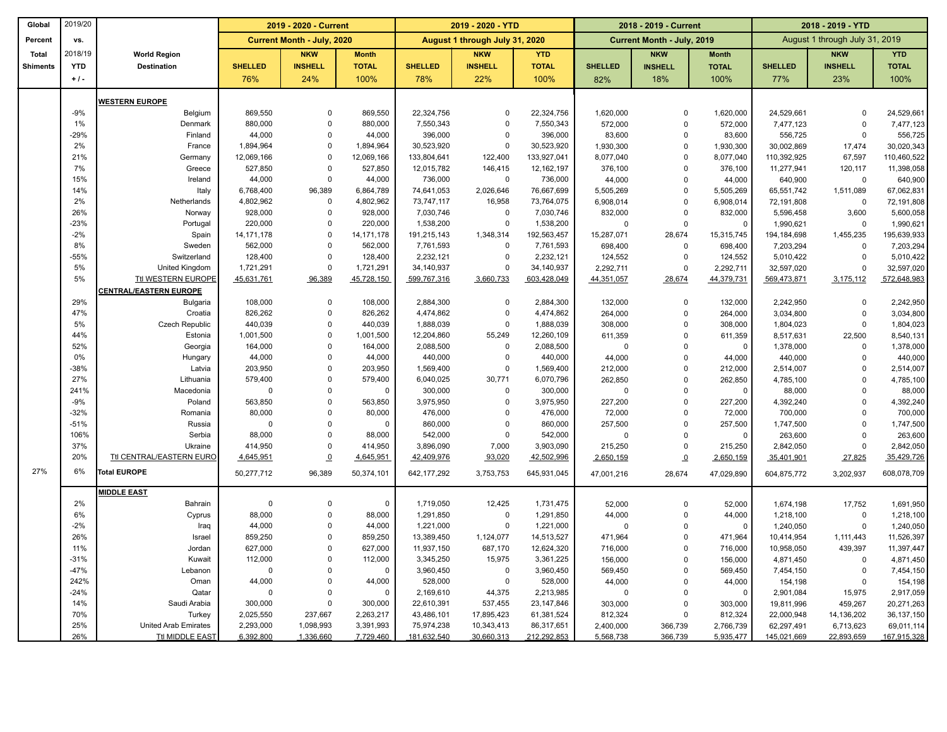| Global          | 2019/20    |                              | 2019 - 2020 - Current |                                   | 2019 - 2020 - YTD  |                         |                                | 2018 - 2019 - Current   |                      |                            | 2018 - 2019 - YTD       |                                |                |                         |
|-----------------|------------|------------------------------|-----------------------|-----------------------------------|--------------------|-------------------------|--------------------------------|-------------------------|----------------------|----------------------------|-------------------------|--------------------------------|----------------|-------------------------|
| Percent         | vs.        |                              |                       | <b>Current Month - July, 2020</b> |                    |                         | August 1 through July 31, 2020 |                         |                      | Current Month - July, 2019 |                         | August 1 through July 31, 2019 |                |                         |
| <b>Total</b>    | 2018/19    | <b>World Region</b>          |                       | <b>NKW</b>                        | <b>Month</b>       |                         | <b>NKW</b>                     | <b>YTD</b>              |                      | <b>NKW</b>                 | <b>Month</b>            |                                | <b>NKW</b>     | <b>YTD</b>              |
| <b>Shiments</b> | <b>YTD</b> | <b>Destination</b>           | <b>SHELLED</b>        | <b>INSHELL</b>                    | <b>TOTAL</b>       | <b>SHELLED</b>          | <b>INSHELL</b>                 | <b>TOTAL</b>            | <b>SHELLED</b>       | <b>INSHELL</b>             | <b>TOTAL</b>            | <b>SHELLED</b>                 | <b>INSHELL</b> | <b>TOTAL</b>            |
|                 | $+1$       |                              | 76%                   | 24%                               | 100%               | 78%                     | 22%                            | 100%                    | 82%                  | 18%                        | 100%                    | 77%                            | 23%            | 100%                    |
|                 |            |                              |                       |                                   |                    |                         |                                |                         |                      |                            |                         |                                |                |                         |
|                 | $-9%$      | <b>NESTERN EUROPE</b>        |                       | $\Omega$                          |                    |                         | $\Omega$                       |                         |                      |                            |                         |                                | $\Omega$       |                         |
|                 | 1%         | Belgium<br>Denmark           | 869,550<br>880,000    | $\Omega$                          | 869,550<br>880,000 | 22,324,756<br>7,550,343 | $\mathbf 0$                    | 22,324,756<br>7,550,343 | 1,620,000<br>572,000 | $\mathbf 0$<br>$\mathbf 0$ | 1,620,000<br>572,000    | 24,529,661<br>7,477,123        | $\Omega$       | 24,529,661<br>7,477,123 |
|                 | $-29%$     | Finland                      | 44,000                | $\Omega$                          | 44,000             | 396,000                 | $\mathbf 0$                    | 396,000                 | 83,600               | $\mathbf 0$                | 83,600                  | 556,725                        | $\mathbf 0$    | 556,725                 |
|                 | 2%         | France                       | 1,894,964             | $\Omega$                          | 1,894,964          | 30,523,920              | $\mathbf 0$                    | 30,523,920              | 1,930,300            | $\mathbf 0$                | 1,930,300               | 30,002,869                     | 17,474         | 30,020,343              |
|                 | 21%        | Germany                      | 12,069,166            | $\Omega$                          | 12,069,166         | 133,804,641             | 122,400                        | 133,927,041             | 8,077,040            | $\pmb{0}$                  | 8,077,040               | 110,392,925                    | 67,597         | 110,460,522             |
|                 | 7%         | Greece                       | 527,850               | $\Omega$                          | 527,850            | 12,015,782              | 146,415                        | 12, 162, 197            | 376,100              | $\mathbf 0$                | 376,100                 | 11,277,941                     | 120,117        | 11,398,058              |
|                 | 15%        | Ireland                      | 44,000                | $\mathbf 0$                       | 44,000             | 736,000                 | $\mathbf 0$                    | 736,000                 | 44,000               | $\mathbf 0$                | 44,000                  | 640,900                        | 0              | 640,900                 |
|                 | 14%        | Italy                        | 6,768,400             | 96,389                            | 6,864,789          | 74,641,053              | 2,026,646                      | 76,667,699              | 5,505,269            | $\mathbf 0$                | 5,505,269               | 65,551,742                     | 1,511,089      | 67,062,831              |
|                 | 2%         | Netherlands                  | 4,802,962             | $\mathbf 0$                       | 4,802,962          | 73,747,117              | 16,958                         | 73,764,075              | 6,908,014            | $\mathbf 0$                | 6,908,014               | 72,191,808                     | 0              | 72,191,808              |
|                 | 26%        | Norway                       | 928,000               | $\Omega$                          | 928,000            | 7,030,746               | $\mathbf 0$                    | 7,030,746               | 832,000              | $\mathbf 0$                | 832,000                 | 5,596,458                      | 3,600          | 5,600,058               |
|                 | $-23%$     | Portugal                     | 220,000               | $\Omega$                          | 220,000            | 1,538,200               | $\mathbf 0$                    | 1,538,200               | $\overline{0}$       | $\Omega$                   | $\overline{\mathbf{0}}$ | 1,990,621                      | 0              | 1,990,621               |
|                 | $-2%$      | Spain                        | 14, 171, 178          | $\Omega$                          | 14, 171, 178       | 191,215,143             | 1,348,314                      | 192,563,457             | 15,287,071           | 28,674                     | 15,315,745              | 194,184,698                    | 1,455,235      | 195,639,933             |
|                 | 8%         | Sweden                       | 562,000               | $\Omega$                          | 562,000            | 7,761,593               | $\pmb{0}$                      | 7,761,593               | 698,400              | $\mathbf 0$                | 698,400                 | 7,203,294                      | 0              | 7,203,294               |
|                 | $-55%$     | Switzerland                  | 128,400               | $\Omega$                          | 128,400            | 2,232,121               | $\mathbf 0$                    | 2,232,121               | 124,552              | $\Omega$                   | 124,552                 | 5,010,422                      | $\mathbf 0$    | 5,010,422               |
|                 | 5%         | United Kingdom               | 1,721,291             | $\Omega$                          | 1,721,291          | 34,140,937              | $\mathsf 0$                    | 34,140,937              | 2,292,711            | $\pmb{0}$                  | 2,292,711               | 32,597,020                     | $\Omega$       | 32,597,020              |
|                 | 5%         | Ttl WESTERN EUROPE           | 45,631,761            | 96,389                            | 45,728,150         | 599,767,316             | 3,660,733                      | 603,428,049             | 44,351,057           | 28,674                     | 44,379,731              | 569,473,871                    | 3,175,112      | 572,648,983             |
|                 |            | <b>ENTRAL/EASTERN EUROPE</b> |                       |                                   |                    |                         |                                |                         |                      |                            |                         |                                |                |                         |
|                 | 29%        | Bulgaria                     | 108,000               | $\Omega$                          | 108,000            | 2,884,300               | $\mathbf 0$                    | 2,884,300               | 132,000              | $\mathbf 0$                | 132.000                 | 2,242,950                      | $\Omega$       | 2,242,950               |
|                 | 47%        | Croatia                      | 826,262               | $\Omega$                          | 826,262            | 4,474,862               | $\mathbf 0$                    | 4,474,862               | 264,000              | $\mathbf 0$                | 264,000                 | 3,034,800                      | $\mathsf 0$    | 3,034,800               |
|                 | 5%         | Czech Republic               | 440,039               | $\Omega$                          | 440,039            | 1,888,039               | $\pmb{0}$                      | 1,888,039               | 308,000              | $\pmb{0}$                  | 308,000                 | 1,804,023                      | $\Omega$       | 1,804,023               |
|                 | 44%        | Estonia                      | 1,001,500             | $\Omega$                          | 1,001,500          | 12,204,860              | 55,249                         | 12,260,109              | 611,359              | $\mathbf 0$                | 611,359                 | 8,517,631                      | 22,500         | 8,540,131               |
|                 | 52%        | Georgia                      | 164,000               | $\Omega$                          | 164,000            | 2,088,500               | $\mathbf 0$                    | 2,088,500               | $\Omega$             | $\Omega$                   | $\Omega$                | 1,378,000                      | $\mathbf 0$    | 1,378,000               |
|                 | 0%         | Hungary                      | 44,000                | $\Omega$                          | 44,000             | 440,000                 | $\mathbf 0$                    | 440,000                 | 44,000               | $\mathbf 0$                | 44,000                  | 440,000                        | $\mathbf 0$    | 440,000                 |
|                 | $-38%$     | Latvia                       | 203,950               | $\Omega$                          | 203,950            | 1,569,400               | $\mathbf 0$                    | 1,569,400               | 212,000              | $\Omega$                   | 212,000                 | 2,514,007                      | $\Omega$       | 2,514,007               |
|                 | 27%        | Lithuania                    | 579,400               | $\Omega$                          | 579,400            | 6,040,025               | 30,771                         | 6,070,796               | 262,850              | $\mathbf 0$                | 262,850                 | 4,785,100                      | $\Omega$       | 4,785,100               |
|                 | 241%       | Macedonia                    | $\Omega$              | $\Omega$                          | $\mathbf 0$        | 300,000                 | $\mathbf 0$                    | 300,000                 | $\Omega$             | $\mathbf 0$                | $\overline{0}$          | 88,000                         | $\Omega$       | 88,000                  |
|                 | $-9%$      | Poland                       | 563,850               | $\Omega$                          | 563,850            | 3,975,950               | $\mathbf 0$                    | 3,975,950               | 227,200              | $\mathbf 0$                | 227,200                 | 4,392,240                      | $\mathbf 0$    | 4,392,240               |
|                 | $-32%$     | Romania                      | 80,000                | $\Omega$                          | 80,000             | 476,000                 | $\mathbf 0$                    | 476,000                 | 72,000               | $\mathbf 0$                | 72,000                  | 700,000                        | $\Omega$       | 700,000                 |
|                 | $-51%$     | Russia                       | $\mathbf 0$           | $\Omega$                          | $\mathbf 0$        | 860,000                 | $\mathbf 0$                    | 860,000                 | 257,500              | $\mathbf 0$                | 257,500                 | 1,747,500                      | $\mathbf 0$    | 1,747,500               |
|                 | 106%       | Serbia                       | 88,000                | $\Omega$                          | 88,000             | 542,000                 | $\mathbf 0$                    | 542,000                 | $\Omega$             | $\mathbf 0$                | $\overline{0}$          | 263,600                        | $\Omega$       | 263,600                 |
|                 | 37%        | Ukraine                      | 414,950               | $\Omega$                          | 414,950            | 3,896,090               | 7,000                          | 3,903,090               | 215,250              | $\mathbf 0$                | 215,250                 | 2,842,050                      | $\mathbf 0$    | 2,842,050               |
|                 | 20%        | Ttl CENTRAL/EASTERN EURO     | 4,645,951             | $\Omega$                          | 4,645,951          | 42,409,976              | 93,020                         | 42,502,996              | 2,650,159            | $\Omega$                   | 2,650,159               | 35,401,901                     | 27,825         | 35,429,726              |
| 27%             | 6%         | <b>Total EUROPE</b>          | 50,277,712            | 96,389                            | 50,374,101         | 642, 177, 292           | 3,753,753                      | 645,931,045             | 47,001,216           | 28,674                     | 47,029,890              | 604,875,772                    | 3,202,937      | 608,078,709             |
|                 |            | <b>MIDDLE EAST</b>           |                       |                                   |                    |                         |                                |                         |                      |                            |                         |                                |                |                         |
|                 | 2%         | Bahrain                      | $\mathbf 0$           | $\mathbf 0$                       | $\mathbf 0$        | 1,719,050               | 12,425                         | 1,731,475               | 52,000               | $\mathbf 0$                | 52,000                  | 1,674,198                      | 17,752         | 1,691,950               |
|                 | 6%         | Cyprus                       | 88,000                | $\Omega$                          | 88,000             | 1,291,850               | $\mathbf 0$                    | 1,291,850               | 44,000               | $\mathbf 0$                | 44,000                  | 1,218,100                      | $\mathbf 0$    | 1,218,100               |
|                 | $-2%$      | Iraq                         | 44,000                | $\Omega$                          | 44,000             | 1,221,000               | $\mathbf 0$                    | 1,221,000               | $\Omega$             | $\mathbf 0$                | $\overline{0}$          | 1,240,050                      | 0              | 1,240,050               |
|                 | 26%        | Israel                       | 859,250               | $\Omega$                          | 859,250            | 13,389,450              | 1,124,077                      | 14,513,527              | 471,964              | $\mathbf 0$                | 471,964                 | 10,414,954                     | 1,111,443      | 11,526,397              |
|                 | 11%        | Jordan                       | 627,000               | $\Omega$                          | 627,000            | 11,937,150              | 687,170                        | 12,624,320              | 716,000              | $\mathbf 0$                | 716,000                 | 10,958,050                     | 439,397        | 11,397,447              |
|                 | $-31%$     | Kuwait                       | 112,000               | $\Omega$                          | 112,000            | 3,345,250               | 15,975                         | 3,361,225               | 156,000              | $\mathbf 0$                | 156,000                 | 4,871,450                      | $\mathbf 0$    | 4,871,450               |
|                 | $-47%$     | Lebanon                      | $\mathbf 0$           | $\Omega$                          | $\mathbf 0$        | 3,960,450               | $\mathbf 0$                    | 3,960,450               | 569,450              | $\mathbf 0$                | 569,450                 | 7,454,150                      | $\mathbf 0$    | 7,454,150               |
|                 | 242%       | Oman                         | 44,000                | $\Omega$                          | 44,000             | 528,000                 | $\mathbf 0$                    | 528,000                 | 44,000               | $\mathbf 0$                | 44,000                  | 154,198                        | $\mathbf 0$    | 154,198                 |
|                 | $-24%$     | Qatar                        | $\mathbf 0$           | $\Omega$                          | $\mathbf 0$        | 2,169,610               | 44,375                         | 2,213,985               | $\mathbf 0$          | $\mathbf 0$                | $\overline{\mathbf{0}}$ | 2,901,084                      | 15,975         | 2,917,059               |
|                 | 14%        | Saudi Arabia                 | 300,000               | $\Omega$                          | 300,000            | 22,610,391              | 537,455                        | 23, 147, 846            | 303,000              | $\Omega$                   | 303,000                 | 19,811,996                     | 459,267        | 20,271,263              |
|                 | 70%        | Turkey                       | 2,025,550             | 237,667                           | 2,263,217          | 43,486,101              | 17,895,423                     | 61,381,524              | 812,324              | $\Omega$                   | 812,324                 | 22,000,948                     | 14,136,202     | 36, 137, 150            |
|                 | 25%        | <b>United Arab Emirates</b>  | 2,293,000             | 1,098,993                         | 3,391,993          | 75,974,238              | 10,343,413                     | 86,317,651              | 2,400,000            | 366,739                    | 2,766,739               | 62,297,491                     | 6,713,623      | 69,011,114              |
|                 | 26%        | <b>Ttl MIDDLE EAST</b>       | 6,392,800             | 1,336,660                         | 7,729,460          | 181,632,540             | 30,660,313                     | 212,292,853             | 5,568,738            | 366,739                    | 5,935,477               | 145,021,669                    | 22,893,659     | 167,915,328             |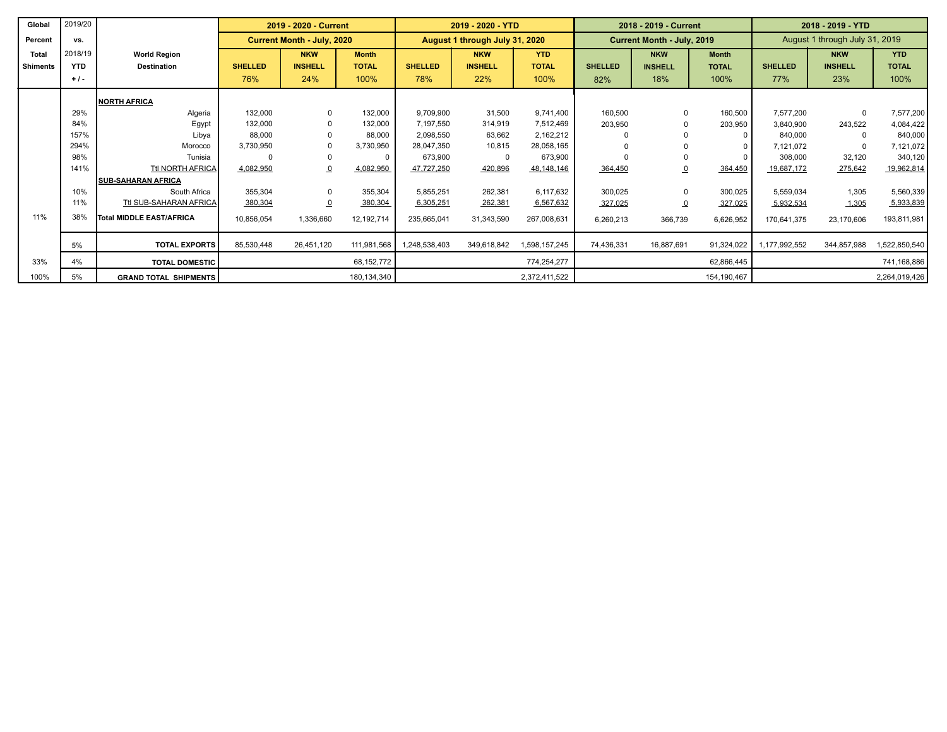| Global       | 2019/20    |                              |                | 2019 - 2020 - Current      |              |                | 2019 - 2020 - YTD              |               | 2018 - 2019 - Current |                            |              | 2018 - 2019 - YTD |                                |               |
|--------------|------------|------------------------------|----------------|----------------------------|--------------|----------------|--------------------------------|---------------|-----------------------|----------------------------|--------------|-------------------|--------------------------------|---------------|
| Percent      | vs.        |                              |                | Current Month - July, 2020 |              |                | August 1 through July 31, 2020 |               |                       | Current Month - July, 2019 |              |                   | August 1 through July 31, 2019 |               |
| <b>Total</b> | 2018/19    | <b>World Region</b>          |                | <b>NKW</b>                 | <b>Month</b> |                | <b>NKW</b>                     | <b>YTD</b>    |                       | <b>NKW</b>                 | <b>Month</b> |                   | <b>NKW</b>                     | <b>YTD</b>    |
| Shiments     | <b>YTD</b> | <b>Destination</b>           | <b>SHELLED</b> | <b>INSHELL</b>             | <b>TOTAL</b> | <b>SHELLED</b> | <b>INSHELL</b>                 | <b>TOTAL</b>  | <b>SHELLED</b>        | <b>INSHELL</b>             | <b>TOTAL</b> | <b>SHELLED</b>    | <b>INSHELL</b>                 | <b>TOTAL</b>  |
|              | $+1$ .     |                              | 76%            | 24%                        | 100%         | 78%            | 22%                            | 100%          | 82%                   | 18%                        | 100%         | 77%               | 23%                            | 100%          |
|              |            | <b>NORTH AFRICA</b>          |                |                            |              |                |                                |               |                       |                            |              |                   |                                |               |
|              | 29%        | Algeria                      | 132,000        | $\mathbf 0$                | 132,000      | 9,709,900      | 31,500                         | 9,741,400     | 160,500               |                            | 160,500      | 7,577,200         | $\Omega$                       | 7,577,200     |
|              | 84%        | Egypt                        | 132,000        | $\Omega$                   | 132,000      | 7,197,550      | 314,919                        | 7,512,469     | 203,950               |                            | 203,950      | 3,840,900         | 243,522                        | 4,084,422     |
|              | 157%       | Libya                        | 88,000         |                            | 88,000       | 2,098,550      | 63,662                         | 2,162,212     |                       |                            |              | 840,000           |                                | 840,000       |
|              | 294%       | Morocco                      | 3,730,950      |                            | 3,730,950    | 28.047.350     | 10,815                         | 28,058,165    |                       |                            |              | 7,121,072         | $\Omega$                       | 7,121,072     |
|              | 98%        | Tunisia                      |                | $\Omega$                   | $\Omega$     | 673,900        | 0                              | 673,900       |                       |                            |              | 308,000           | 32,120                         | 340,120       |
|              | 141%       | Ttl NORTH AFRICA             | 4,082,950      |                            | 4,082,950    | 47,727,250     | 420,896                        | 48,148,146    | 364,450               |                            | 364,450      | 19,687,172        | 275,642                        | 19,962,814    |
|              |            | <b>ISUB-SAHARAN AFRICA</b>   |                |                            |              |                |                                |               |                       |                            |              |                   |                                |               |
|              | 10%        | South Africa                 | 355,304        | $\Omega$                   | 355,304      | 5,855,251      | 262,381                        | 6,117,632     | 300,025               |                            | 300,025      | 5,559,034         | 1,305                          | 5,560,339     |
|              | 11%        | Ttl SUB-SAHARAN AFRICA       | 380,304        | $\overline{0}$             | 380,304      | 6,305,251      | 262,381                        | 6,567,632     | 327,025               |                            | 327,025      | 5,932,534         | 1,305                          | 5,933,839     |
| 11%          | 38%        | Total MIDDLE EAST/AFRICA     | 10,856,054     | 1,336,660                  | 12,192,714   | 235,665,041    | 31,343,590                     | 267,008,631   | 6,260,213             | 366,739                    | 6,626,952    | 170,641,375       | 23,170,606                     | 193,811,981   |
|              | 5%         | <b>TOTAL EXPORTS</b>         | 85,530,448     | 26,451,120                 | 111,981,568  | 1,248,538,403  | 349,618,842                    | 1,598,157,245 | 74,436,331            | 16,887,691                 | 91,324,022   | 1,177,992,552     | 344,857,988                    | 1,522,850,540 |
| 33%          | 4%         | <b>TOTAL DOMESTIC</b>        |                |                            | 68,152,772   |                |                                | 774,254,277   |                       |                            | 62,866,445   |                   |                                | 741,168,886   |
| 100%         | 5%         | <b>GRAND TOTAL SHIPMENTS</b> |                |                            | 180,134,340  |                |                                | 2,372,411,522 |                       |                            | 154,190,467  |                   |                                | 2,264,019,426 |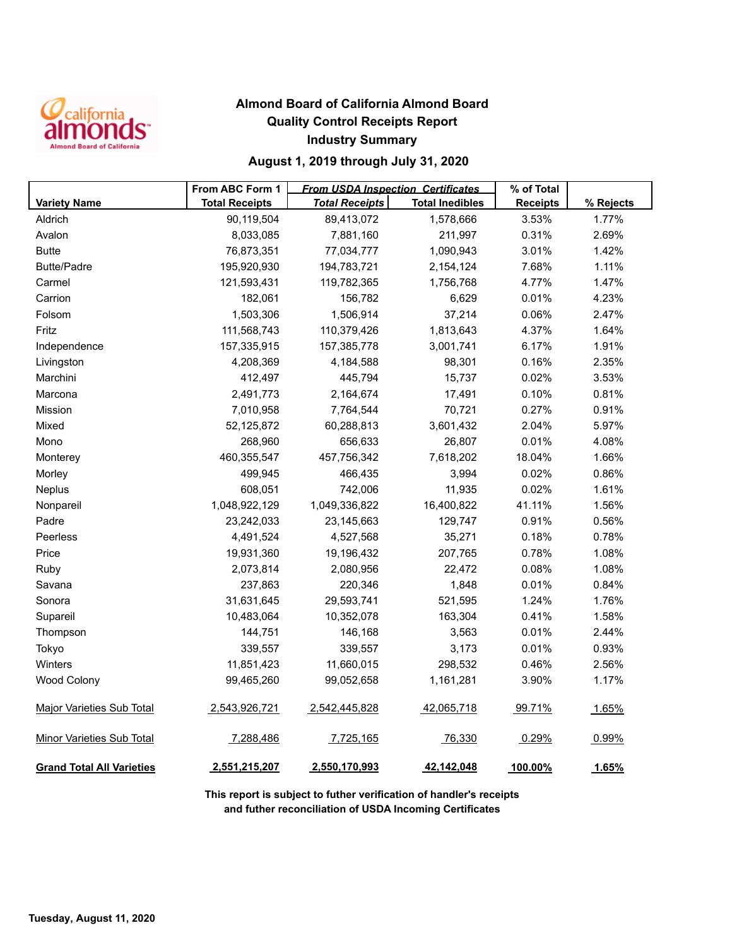

### **Almond Board of California Almond Board Quality Control Receipts Report Industry Summary**

#### **August 1, 2019 through July 31, 2020**

|                                  | From ABC Form 1       | <b>From USDA Inspection Certificates</b> |                        | % of Total      |           |
|----------------------------------|-----------------------|------------------------------------------|------------------------|-----------------|-----------|
| <b>Variety Name</b>              | <b>Total Receipts</b> | <b>Total Receipts</b>                    | <b>Total Inedibles</b> | <b>Receipts</b> | % Rejects |
| Aldrich                          | 90,119,504            | 89,413,072                               | 1,578,666              | 3.53%           | 1.77%     |
| Avalon                           | 8,033,085             | 7,881,160                                | 211,997                | 0.31%           | 2.69%     |
| <b>Butte</b>                     | 76,873,351            | 77,034,777                               | 1,090,943              | 3.01%           | 1.42%     |
| <b>Butte/Padre</b>               | 195,920,930           | 194,783,721                              | 2,154,124              | 7.68%           | 1.11%     |
| Carmel                           | 121,593,431           | 119,782,365                              | 1,756,768              | 4.77%           | 1.47%     |
| Carrion                          | 182,061               | 156,782                                  | 6,629                  | 0.01%           | 4.23%     |
| Folsom                           | 1,503,306             | 1,506,914                                | 37,214                 | 0.06%           | 2.47%     |
| Fritz                            | 111,568,743           | 110,379,426                              | 1,813,643              | 4.37%           | 1.64%     |
| Independence                     | 157,335,915           | 157,385,778                              | 3,001,741              | 6.17%           | 1.91%     |
| Livingston                       | 4,208,369             | 4,184,588                                | 98,301                 | 0.16%           | 2.35%     |
| Marchini                         | 412,497               | 445,794                                  | 15,737                 | 0.02%           | 3.53%     |
| Marcona                          | 2,491,773             | 2,164,674                                | 17,491                 | 0.10%           | 0.81%     |
| Mission                          | 7,010,958             | 7,764,544                                | 70,721                 | 0.27%           | 0.91%     |
| Mixed                            | 52,125,872            | 60,288,813                               | 3,601,432              | 2.04%           | 5.97%     |
| Mono                             | 268,960               | 656,633                                  | 26,807                 | 0.01%           | 4.08%     |
| Monterey                         | 460,355,547           | 457,756,342                              | 7,618,202              | 18.04%          | 1.66%     |
| Morley                           | 499,945               | 466,435                                  | 3,994                  | 0.02%           | 0.86%     |
| Neplus                           | 608,051               | 742,006                                  | 11,935                 | 0.02%           | 1.61%     |
| Nonpareil                        | 1,048,922,129         | 1,049,336,822                            | 16,400,822             | 41.11%          | 1.56%     |
| Padre                            | 23,242,033            | 23,145,663                               | 129,747                | 0.91%           | 0.56%     |
| Peerless                         | 4,491,524             | 4,527,568                                | 35,271                 | 0.18%           | 0.78%     |
| Price                            | 19,931,360            | 19,196,432                               | 207,765                | 0.78%           | 1.08%     |
| Ruby                             | 2,073,814             | 2,080,956                                | 22,472                 | 0.08%           | 1.08%     |
| Savana                           | 237,863               | 220,346                                  | 1,848                  | 0.01%           | 0.84%     |
| Sonora                           | 31,631,645            | 29,593,741                               | 521,595                | 1.24%           | 1.76%     |
| Supareil                         | 10,483,064            | 10,352,078                               | 163,304                | 0.41%           | 1.58%     |
| Thompson                         | 144,751               | 146,168                                  | 3,563                  | 0.01%           | 2.44%     |
| Tokyo                            | 339,557               | 339,557                                  | 3,173                  | 0.01%           | 0.93%     |
| Winters                          | 11,851,423            | 11,660,015                               | 298,532                | 0.46%           | 2.56%     |
| <b>Wood Colony</b>               | 99,465,260            | 99,052,658                               | 1,161,281              | 3.90%           | 1.17%     |
| <b>Major Varieties Sub Total</b> | 2,543,926,721         | 2,542,445,828                            | 42,065,718             | 99.71%          | 1.65%     |
| Minor Varieties Sub Total        | 7,288,486             | 7,725,165                                | 76,330                 | 0.29%           | 0.99%     |
| <b>Grand Total All Varieties</b> | 2,551,215,207         | 2,550,170,993                            | 42,142,048             | 100.00%         | 1.65%     |

**This report is subject to futher verification of handler's receipts and futher reconciliation of USDA Incoming Certificates**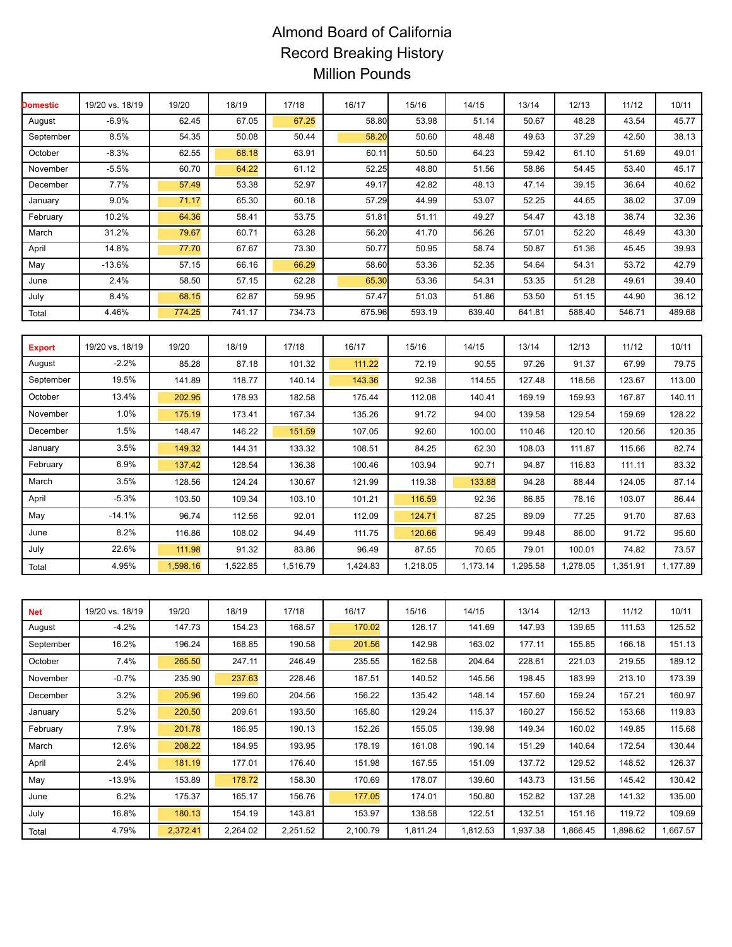# Almond Board of California Record Breaking History Million Pounds

| <b>Domestic</b> | 19/20 vs. 18/19 | 19/20    | 18/19    | 17/18    | 16/17    | 15/16    | 14/15    | 13/14    | 12/13    | 11/12    | 10/11    |
|-----------------|-----------------|----------|----------|----------|----------|----------|----------|----------|----------|----------|----------|
| August          | $-6.9%$         | 62.45    | 67.05    | 67.25    | 58.80    | 53.98    | 51.14    | 50.67    | 48.28    | 43.54    | 45.77    |
| September       | 8.5%            | 54.35    | 50.08    | 50.44    | 58.20    | 50.60    | 48.48    | 49.63    | 37.29    | 42.50    | 38.13    |
| October         | $-8.3%$         | 62.55    | 68.18    | 63.91    | 60.11    | 50.50    | 64.23    | 59.42    | 61.10    | 51.69    | 49.01    |
| November        | $-5.5%$         | 60.70    | 64.22    | 61.12    | 52.25    | 48.80    | 51.56    | 58.86    | 54.45    | 53.40    | 45.17    |
| December        | 7.7%            | 57.49    | 53.38    | 52.97    | 49.17    | 42.82    | 48.13    | 47.14    | 39.15    | 36.64    | 40.62    |
| January         | 9.0%            | 71.17    | 65.30    | 60.18    | 57.29    | 44.99    | 53.07    | 52.25    | 44.65    | 38.02    | 37.09    |
| February        | 10.2%           | 64.36    | 58.41    | 53.75    | 51.8'    | 51.11    | 49.27    | 54.47    | 43.18    | 38.74    | 32.36    |
| March           | 31.2%           | 79.67    | 60.71    | 63.28    | 56.20    | 41.70    | 56.26    | 57.01    | 52.20    | 48.49    | 43.30    |
| April           | 14.8%           | 77.70    | 67.67    | 73.30    | 50.77    | 50.95    | 58.74    | 50.87    | 51.36    | 45.45    | 39.93    |
| May             | $-13.6%$        | 57.15    | 66.16    | 66.29    | 58.60    | 53.36    | 52.35    | 54.64    | 54.31    | 53.72    | 42.79    |
| June            | 2.4%            | 58.50    | 57.15    | 62.28    | 65.30    | 53.36    | 54.31    | 53.35    | 51.28    | 49.61    | 39.40    |
| July            | 8.4%            | 68.15    | 62.87    | 59.95    | 57.47    | 51.03    | 51.86    | 53.50    | 51.15    | 44.90    | 36.12    |
| Total           | 4.46%           | 774.25   | 741.17   | 734.73   | 675.96   | 593.19   | 639.40   | 641.81   | 588.40   | 546.71   | 489.68   |
|                 |                 |          |          |          |          |          |          |          |          |          |          |
| <b>Export</b>   | 19/20 vs. 18/19 | 19/20    | 18/19    | 17/18    | 16/17    | 15/16    | 14/15    | 13/14    | 12/13    | 11/12    | 10/11    |
| August          | $-2.2%$         | 85.28    | 87.18    | 101.32   | 111.22   | 72.19    | 90.55    | 97.26    | 91.37    | 67.99    | 79.75    |
| September       | 19.5%           | 141.89   | 118.77   | 140.14   | 143.36   | 92.38    | 114.55   | 127.48   | 118.56   | 123.67   | 113.00   |
| October         | 13.4%           | 202.95   | 178.93   | 182.58   | 175.44   | 112.08   | 140.41   | 169.19   | 159.93   | 167.87   | 140.11   |
| November        | 1.0%            | 175.19   | 173.41   | 167.34   | 135.26   | 91.72    | 94.00    | 139.58   | 129.54   | 159.69   | 128.22   |
| December        | 1.5%            | 148.47   | 146.22   | 151.59   | 107.05   | 92.60    | 100.00   | 110.46   | 120.10   | 120.56   | 120.35   |
| January         | 3.5%            | 149.32   | 144.31   | 133.32   | 108.51   | 84.25    | 62.30    | 108.03   | 111.87   | 115.66   | 82.74    |
| February        | 6.9%            | 137.42   | 128.54   | 136.38   | 100.46   | 103.94   | 90.71    | 94.87    | 116.83   | 111.11   | 83.32    |
| March           | 3.5%            | 128.56   | 124.24   | 130.67   | 121.99   | 119.38   | 133.88   | 94.28    | 88.44    | 124.05   | 87.14    |
| April           | $-5.3%$         | 103.50   | 109.34   | 103.10   | 101.21   | 116.59   | 92.36    | 86.85    | 78.16    | 103.07   | 86.44    |
| May             | $-14.1%$        | 96.74    | 112.56   | 92.01    | 112.09   | 124.71   | 87.25    | 89.09    | 77.25    | 91.70    | 87.63    |
| June            | 8.2%            | 116.86   | 108.02   | 94.49    | 111.75   | 120.66   | 96.49    | 99.48    | 86.00    | 91.72    | 95.60    |
| July            | 22.6%           | 111.98   | 91.32    | 83.86    | 96.49    | 87.55    | 70.65    | 79.01    | 100.01   | 74.82    | 73.57    |
| Total           | 4.95%           | 1,598.16 | 1,522.85 | 1,516.79 | 1,424.83 | 1,218.05 | 1,173.14 | 1.295.58 | 1.278.05 | 1,351.91 | 1,177.89 |
|                 |                 |          |          |          |          |          |          |          |          |          |          |
| <b>Net</b>      | 19/20 vs. 18/19 | 19/20    | 18/19    | 17/18    | 16/17    | 15/16    | 14/15    | 13/14    | 12/13    | 11/12    | 10/11    |
| August          | $-4.2%$         | 147.73   | 154.23   | 168.57   | 170.02   | 126.17   | 141.69   | 147.93   | 139.65   | 111.53   | 125.52   |

| .         | טוישו טי | .        | .        | .        | .        | .        | . .,     | .        | .      | .        | .        |
|-----------|----------|----------|----------|----------|----------|----------|----------|----------|--------|----------|----------|
| August    | $-4.2%$  | 147.73   | 154.23   | 168.57   | 170.02   | 126.17   | 141.69   | 147.93   | 139.65 | 111.53   | 125.52   |
| September | 16.2%    | 196.24   | 168.85   | 190.58   | 201.56   | 142.98   | 163.02   | 177.11   | 155.85 | 166.18   | 151.13   |
| October   | 7.4%     | 265.50   | 247.11   | 246.49   | 235.55   | 162.58   | 204.64   | 228.61   | 221.03 | 219.55   | 189.12   |
| November  | $-0.7%$  | 235.90   | 237.63   | 228.46   | 187.51   | 140.52   | 145.56   | 198.45   | 183.99 | 213.10   | 173.39   |
| December  | 3.2%     | 205.96   | 199.60   | 204.56   | 156.22   | 135.42   | 148.14   | 157.60   | 159.24 | 157.21   | 160.97   |
| January   | 5.2%     | 220.50   | 209.61   | 193.50   | 165.80   | 129.24   | 115.37   | 160.27   | 156.52 | 153.68   | 119.83   |
| February  | 7.9%     | 201.78   | 186.95   | 190.13   | 152.26   | 155.05   | 139.98   | 149.34   | 160.02 | 149.85   | 115.68   |
| March     | 12.6%    | 208.22   | 184.95   | 193.95   | 178.19   | 161.08   | 190.14   | 151.29   | 140.64 | 172.54   | 130.44   |
| April     | 2.4%     | 181.19   | 177.01   | 176.40   | 151.98   | 167.55   | 151.09   | 137.72   | 129.52 | 148.52   | 126.37   |
| May       | $-13.9%$ | 153.89   | 178.72   | 158.30   | 170.69   | 178.07   | 139.60   | 143.73   | 131.56 | 145.42   | 130.42   |
| June      | 6.2%     | 175.37   | 165.17   | 156.76   | 177.05   | 174.01   | 150.80   | 152.82   | 137.28 | 141.32   | 135.00   |
| July      | 16.8%    | 180.13   | 154.19   | 143.81   | 153.97   | 138.58   | 122.51   | 132.51   | 151.16 | 119.72   | 109.69   |
| Total     | 4.79%    | 2,372.41 | 2,264.02 | 2,251.52 | 2,100.79 | 1,811.24 | 1,812.53 | 1,937.38 | 866.45 | 1,898.62 | 1,667.57 |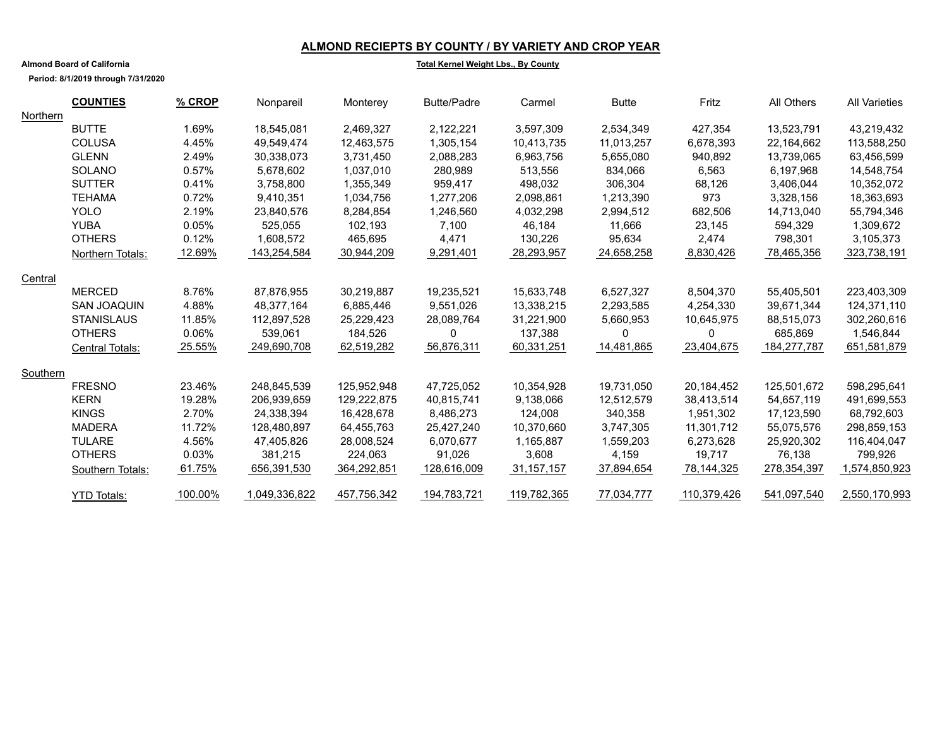#### **ALMOND RECIEPTS BY COUNTY / BY VARIETY AND CROP YEAR**

#### **Total Kernel Weight Lbs., By County**

**Period: 8/1/2019 through 7/31/2020**

**Almond Board of California**

|          | <b>COUNTIES</b>        | % CROP  | Nonpareil     | Monterey    | <b>Butte/Padre</b> | Carmel       | <b>Butte</b> | Fritz       | All Others  | <b>All Varieties</b> |
|----------|------------------------|---------|---------------|-------------|--------------------|--------------|--------------|-------------|-------------|----------------------|
| Northern |                        |         |               |             |                    |              |              |             |             |                      |
|          | <b>BUTTE</b>           | 1.69%   | 18,545,081    | 2,469,327   | 2,122,221          | 3,597,309    | 2,534,349    | 427,354     | 13,523,791  | 43,219,432           |
|          | <b>COLUSA</b>          | 4.45%   | 49,549,474    | 12,463,575  | 1,305,154          | 10,413,735   | 11,013,257   | 6,678,393   | 22,164,662  | 113,588,250          |
|          | <b>GLENN</b>           | 2.49%   | 30,338,073    | 3.731.450   | 2,088,283          | 6,963,756    | 5,655,080    | 940,892     | 13.739.065  | 63,456,599           |
|          | SOLANO                 | 0.57%   | 5,678,602     | 1,037,010   | 280,989            | 513,556      | 834,066      | 6,563       | 6,197,968   | 14,548,754           |
|          | <b>SUTTER</b>          | 0.41%   | 3,758,800     | 1,355,349   | 959,417            | 498,032      | 306,304      | 68,126      | 3,406,044   | 10,352,072           |
|          | <b>TEHAMA</b>          | 0.72%   | 9,410,351     | 1,034,756   | 1,277,206          | 2,098,861    | 1,213,390    | 973         | 3,328,156   | 18,363,693           |
|          | <b>YOLO</b>            | 2.19%   | 23.840.576    | 8,284,854   | 1.246.560          | 4,032,298    | 2,994,512    | 682,506     | 14.713.040  | 55,794,346           |
|          | <b>YUBA</b>            | 0.05%   | 525,055       | 102,193     | 7,100              | 46,184       | 11,666       | 23,145      | 594,329     | 1,309,672            |
|          | <b>OTHERS</b>          | 0.12%   | 1,608,572     | 465,695     | 4,471              | 130,226      | 95,634       | 2,474       | 798,301     | 3,105,373            |
|          | Northern Totals:       | 12.69%  | 143,254,584   | 30,944,209  | 9,291,401          | 28,293,957   | 24,658,258   | 8,830,426   | 78,465,356  | 323,738,191          |
| Central  |                        |         |               |             |                    |              |              |             |             |                      |
|          | <b>MERCED</b>          | 8.76%   | 87,876,955    | 30.219.887  | 19.235.521         | 15,633,748   | 6.527.327    | 8,504,370   | 55,405,501  | 223,403,309          |
|          | <b>SAN JOAQUIN</b>     | 4.88%   | 48,377,164    | 6,885,446   | 9,551,026          | 13,338,215   | 2,293,585    | 4,254,330   | 39,671,344  | 124,371,110          |
|          | <b>STANISLAUS</b>      | 11.85%  | 112,897,528   | 25,229,423  | 28,089,764         | 31,221,900   | 5,660,953    | 10,645,975  | 88,515,073  | 302,260,616          |
|          | <b>OTHERS</b>          | 0.06%   | 539,061       | 184,526     | 0                  | 137,388      | 0            | 0           | 685,869     | 1,546,844            |
|          | <b>Central Totals:</b> | 25.55%  | 249,690,708   | 62,519,282  | 56,876,311         | 60,331,251   | 14,481,865   | 23,404,675  | 184,277,787 | 651,581,879          |
| Southern |                        |         |               |             |                    |              |              |             |             |                      |
|          | <b>FRESNO</b>          | 23.46%  | 248,845,539   | 125,952,948 | 47,725,052         | 10,354,928   | 19,731,050   | 20,184,452  | 125,501,672 | 598,295,641          |
|          | <b>KERN</b>            | 19.28%  | 206,939,659   | 129,222,875 | 40,815,741         | 9,138,066    | 12,512,579   | 38,413,514  | 54,657,119  | 491,699,553          |
|          | <b>KINGS</b>           | 2.70%   | 24,338,394    | 16.428.678  | 8,486,273          | 124.008      | 340,358      | 1,951,302   | 17.123.590  | 68,792,603           |
|          | <b>MADERA</b>          | 11.72%  | 128,480,897   | 64,455,763  | 25,427,240         | 10,370,660   | 3,747,305    | 11,301,712  | 55,075,576  | 298,859,153          |
|          | <b>TULARE</b>          | 4.56%   | 47,405,826    | 28,008,524  | 6,070,677          | 1,165,887    | 1,559,203    | 6,273,628   | 25,920,302  | 116,404,047          |
|          | <b>OTHERS</b>          | 0.03%   | 381,215       | 224,063     | 91,026             | 3,608        | 4,159        | 19,717      | 76,138      | 799,926              |
|          | Southern Totals:       | 61.75%  | 656,391,530   | 364,292,851 | 128,616,009        | 31, 157, 157 | 37,894,654   | 78,144,325  | 278,354,397 | 1,574,850,923        |
|          | <b>YTD Totals:</b>     | 100.00% | 1,049,336,822 | 457,756,342 | 194,783,721        | 119,782,365  | 77,034,777   | 110,379,426 | 541,097,540 | 2,550,170,993        |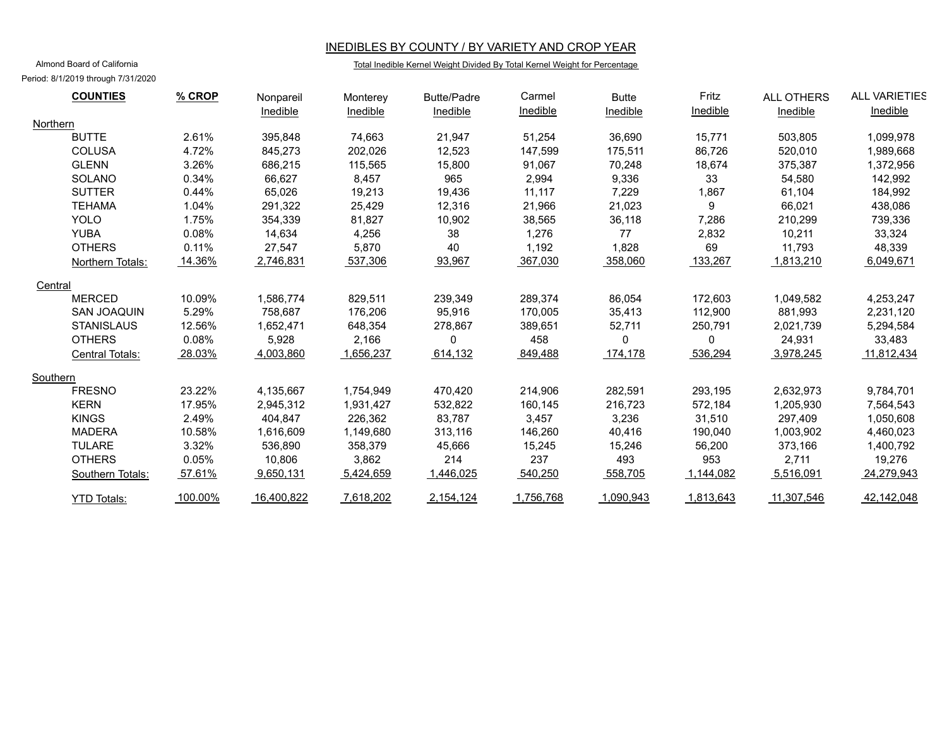#### INEDIBLES BY COUNTY / BY VARIETY AND CROP YEAR

#### Total Inedible Kernel Weight Divided By Total Kernel Weight for Percentage

Almond Board of California Period: 8/1/2019 through 7/31/2020

| <b>COUNTIES</b>    | $%$ CROP | Nonpareil  | Monterey  | <b>Butte/Padre</b> | Carmel    | <b>Butte</b> | Fritz     | <b>ALL OTHERS</b> | <b>ALL VARIETIES</b> |
|--------------------|----------|------------|-----------|--------------------|-----------|--------------|-----------|-------------------|----------------------|
|                    |          | Inedible   | Inedible  | Inedible           | Inedible  | Inedible     | Inedible  | Inedible          | Inedible             |
| Northern           |          |            |           |                    |           |              |           |                   |                      |
| <b>BUTTE</b>       | 2.61%    | 395,848    | 74,663    | 21,947             | 51,254    | 36,690       | 15,771    | 503,805           | 1,099,978            |
| <b>COLUSA</b>      | 4.72%    | 845,273    | 202,026   | 12,523             | 147,599   | 175,511      | 86,726    | 520,010           | 1,989,668            |
| <b>GLENN</b>       | 3.26%    | 686,215    | 115,565   | 15,800             | 91,067    | 70,248       | 18,674    | 375,387           | 1,372,956            |
| SOLANO             | 0.34%    | 66,627     | 8,457     | 965                | 2,994     | 9,336        | 33        | 54,580            | 142,992              |
| <b>SUTTER</b>      | 0.44%    | 65,026     | 19,213    | 19,436             | 11.117    | 7,229        | 1,867     | 61.104            | 184.992              |
| <b>TEHAMA</b>      | 1.04%    | 291,322    | 25,429    | 12,316             | 21,966    | 21,023       | 9         | 66,021            | 438,086              |
| <b>YOLO</b>        | 1.75%    | 354,339    | 81,827    | 10,902             | 38,565    | 36,118       | 7,286     | 210,299           | 739,336              |
| <b>YUBA</b>        | 0.08%    | 14.634     | 4.256     | 38                 | 1,276     | 77           | 2,832     | 10.211            | 33,324               |
| <b>OTHERS</b>      | 0.11%    | 27,547     | 5,870     | 40                 | 1,192     | 1,828        | 69        | 11,793            | 48,339               |
| Northern Totals:   | 14.36%   | 2,746,831  | 537,306   | 93,967             | 367,030   | 358,060      | 133,267   | 1,813,210         | 6,049,671            |
| Central            |          |            |           |                    |           |              |           |                   |                      |
| <b>MERCED</b>      | 10.09%   | 1,586,774  | 829,511   | 239,349            | 289,374   | 86,054       | 172,603   | 1,049,582         | 4,253,247            |
| <b>SAN JOAQUIN</b> | 5.29%    | 758,687    | 176,206   | 95,916             | 170,005   | 35,413       | 112,900   | 881,993           | 2,231,120            |
| <b>STANISLAUS</b>  | 12.56%   | 1,652,471  | 648,354   | 278,867            | 389,651   | 52,711       | 250.791   | 2,021,739         | 5,294,584            |
| <b>OTHERS</b>      | 0.08%    | 5,928      | 2,166     | 0                  | 458       | $\Omega$     | $\Omega$  | 24,931            | 33,483               |
| Central Totals:    | 28.03%   | 4,003,860  | 1,656,237 | 614,132            | 849,488   | 174,178      | 536,294   | 3,978,245         | 11,812,434           |
| Southern           |          |            |           |                    |           |              |           |                   |                      |
| <b>FRESNO</b>      | 23.22%   | 4,135,667  | 1,754,949 | 470,420            | 214,906   | 282,591      | 293,195   | 2,632,973         | 9,784,701            |
| <b>KERN</b>        | 17.95%   | 2,945,312  | 1,931,427 | 532,822            | 160,145   | 216,723      | 572,184   | 1,205,930         | 7,564,543            |
| <b>KINGS</b>       | 2.49%    | 404,847    | 226,362   | 83,787             | 3,457     | 3,236        | 31,510    | 297,409           | 1,050,608            |
| <b>MADERA</b>      | 10.58%   | 1,616,609  | 1,149,680 | 313,116            | 146,260   | 40,416       | 190,040   | 1,003,902         | 4,460,023            |
| <b>TULARE</b>      | 3.32%    | 536,890    | 358,379   | 45,666             | 15,245    | 15,246       | 56,200    | 373,166           | 1,400,792            |
| <b>OTHERS</b>      | 0.05%    | 10,806     | 3,862     | 214                | 237       | 493          | 953       | 2,711             | 19,276               |
| Southern Totals:   | 57.61%   | 9,650,131  | 5,424,659 | 1,446,025          | 540,250   | 558,705      | 1,144,082 | 5,516,091         | 24,279,943           |
| <b>YTD Totals:</b> | 100.00%  | 16,400,822 | 7,618,202 | 2,154,124          | 1,756,768 | 1,090,943    | 1,813,643 | 11,307,546        | 42,142,048           |